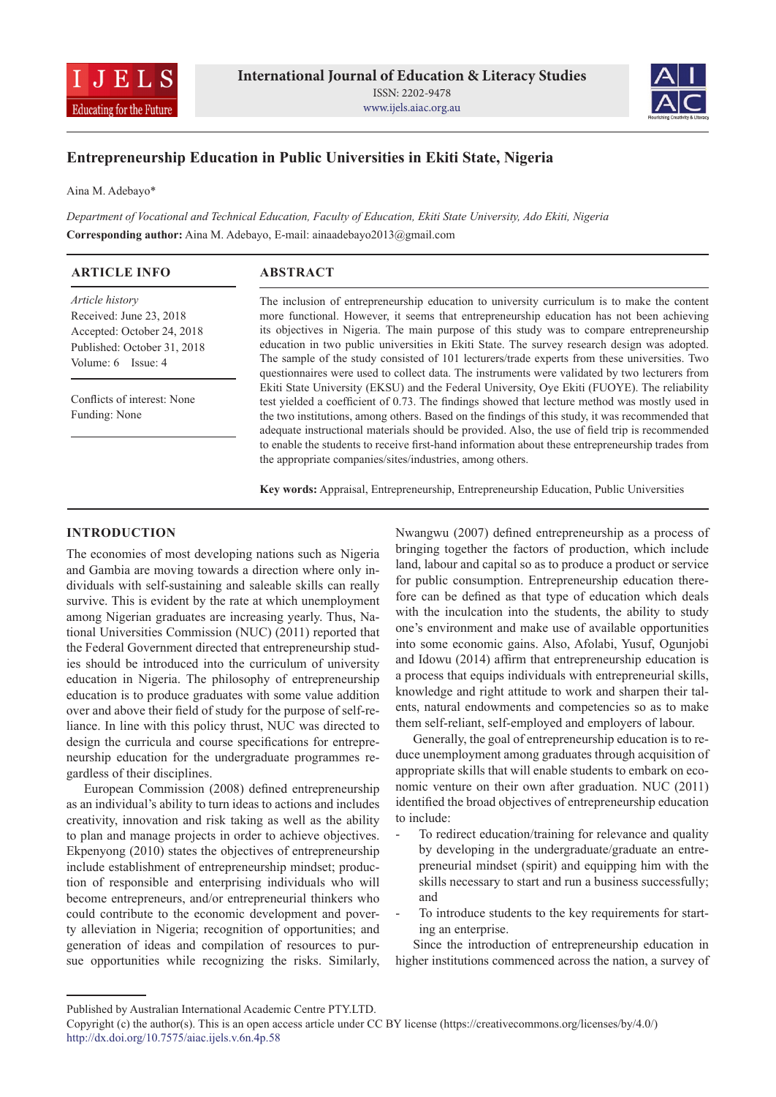



# **Entrepreneurship Education in Public Universities in Ekiti State, Nigeria**

Aina M. Adebayo\*

*Department of Vocational and Technical Education, Faculty of Education, Ekiti State University, Ado Ekiti, Nigeria* **Corresponding author:** Aina M. Adebayo, E-mail: ainaadebayo2013@gmail.com

| <b>ARTICLE INFO</b>                                                                                                               | <b>ABSTRACT</b>                                                                                                                                                                                                                                                                                                                                                                                                                                                                                                                                                                          |
|-----------------------------------------------------------------------------------------------------------------------------------|------------------------------------------------------------------------------------------------------------------------------------------------------------------------------------------------------------------------------------------------------------------------------------------------------------------------------------------------------------------------------------------------------------------------------------------------------------------------------------------------------------------------------------------------------------------------------------------|
| Article history<br>Received: June 23, 2018<br>Accepted: October 24, 2018<br>Published: October 31, 2018<br>Volume: $6$ Issue: $4$ | The inclusion of entrepreneurship education to university curriculum is to make the content<br>more functional. However, it seems that entrepreneurship education has not been achieving<br>its objectives in Nigeria. The main purpose of this study was to compare entrepreneurship<br>education in two public universities in Ekiti State. The survey research design was adopted.<br>The sample of the study consisted of 101 lecturers/trade experts from these universities. Two<br>questionnaires were used to collect data. The instruments were validated by two lecturers from |
| Conflicts of interest: None<br>Funding: None                                                                                      | Ekiti State University (EKSU) and the Federal University, Oye Ekiti (FUOYE). The reliability<br>test yielded a coefficient of 0.73. The findings showed that lecture method was mostly used in<br>the two institutions, among others. Based on the findings of this study, it was recommended that<br>adequate instructional materials should be provided. Also, the use of field trip is recommended<br>to enable the students to receive first-hand information about these entrepreneurship trades from<br>the appropriate companies/sites/industries, among others.                  |

**Key words:** Appraisal, Entrepreneurship, Entrepreneurship Education, Public Universities

## **INTRODUCTION**

The economies of most developing nations such as Nigeria and Gambia are moving towards a direction where only individuals with self-sustaining and saleable skills can really survive. This is evident by the rate at which unemployment among Nigerian graduates are increasing yearly. Thus, National Universities Commission (NUC) (2011) reported that the Federal Government directed that entrepreneurship studies should be introduced into the curriculum of university education in Nigeria. The philosophy of entrepreneurship education is to produce graduates with some value addition over and above their field of study for the purpose of self-reliance. In line with this policy thrust, NUC was directed to design the curricula and course specifications for entrepreneurship education for the undergraduate programmes regardless of their disciplines.

European Commission (2008) defined entrepreneurship as an individual's ability to turn ideas to actions and includes creativity, innovation and risk taking as well as the ability to plan and manage projects in order to achieve objectives. Ekpenyong (2010) states the objectives of entrepreneurship include establishment of entrepreneurship mindset; production of responsible and enterprising individuals who will become entrepreneurs, and/or entrepreneurial thinkers who could contribute to the economic development and poverty alleviation in Nigeria; recognition of opportunities; and generation of ideas and compilation of resources to pursue opportunities while recognizing the risks. Similarly, Nwangwu (2007) defined entrepreneurship as a process of bringing together the factors of production, which include land, labour and capital so as to produce a product or service for public consumption. Entrepreneurship education therefore can be defined as that type of education which deals with the inculcation into the students, the ability to study one's environment and make use of available opportunities into some economic gains. Also, Afolabi, Yusuf, Ogunjobi and Idowu (2014) affirm that entrepreneurship education is a process that equips individuals with entrepreneurial skills, knowledge and right attitude to work and sharpen their talents, natural endowments and competencies so as to make them self-reliant, self-employed and employers of labour.

Generally, the goal of entrepreneurship education is to reduce unemployment among graduates through acquisition of appropriate skills that will enable students to embark on economic venture on their own after graduation. NUC (2011) identified the broad objectives of entrepreneurship education to include:

- To redirect education/training for relevance and quality by developing in the undergraduate/graduate an entrepreneurial mindset (spirit) and equipping him with the skills necessary to start and run a business successfully; and
- To introduce students to the key requirements for starting an enterprise.

Since the introduction of entrepreneurship education in higher institutions commenced across the nation, a survey of

Published by Australian International Academic Centre PTY.LTD.

Copyright (c) the author(s). This is an open access article under CC BY license (https://creativecommons.org/licenses/by/4.0/) http://dx.doi.org/10.7575/aiac.ijels.v.6n.4p.58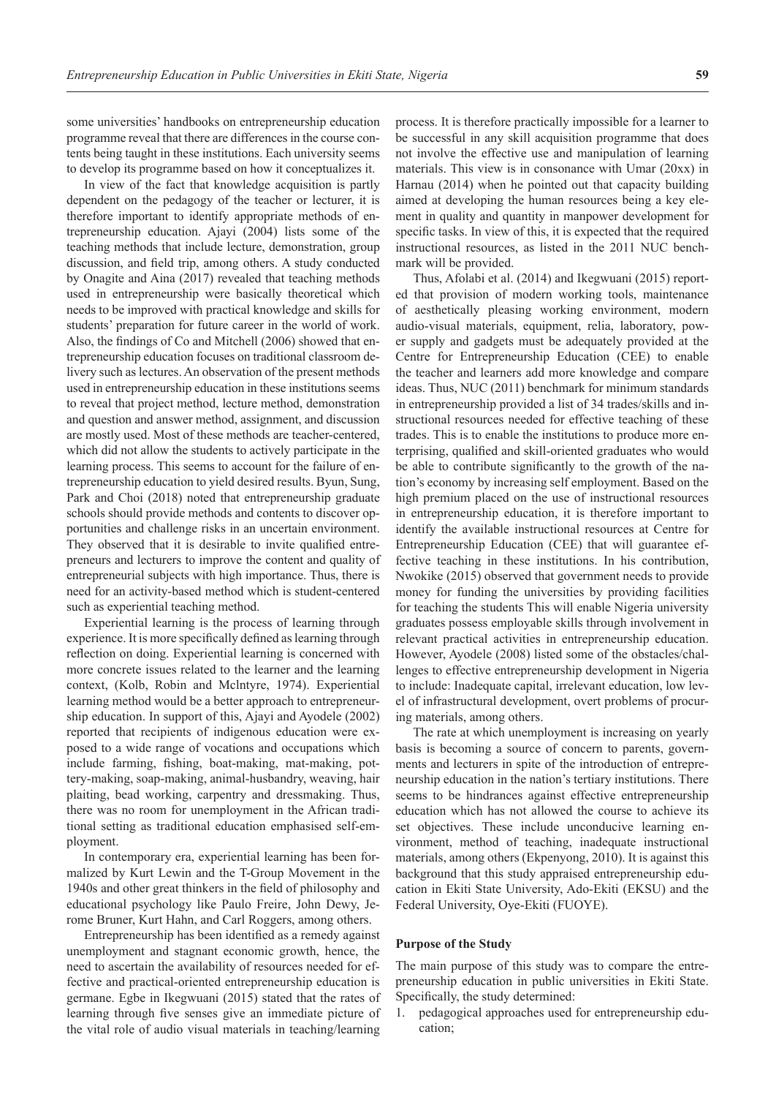some universities' handbooks on entrepreneurship education programme reveal that there are differences in the course contents being taught in these institutions. Each university seems to develop its programme based on how it conceptualizes it.

In view of the fact that knowledge acquisition is partly dependent on the pedagogy of the teacher or lecturer, it is therefore important to identify appropriate methods of entrepreneurship education. Ajayi (2004) lists some of the teaching methods that include lecture, demonstration, group discussion, and field trip, among others. A study conducted by Onagite and Aina (2017) revealed that teaching methods used in entrepreneurship were basically theoretical which needs to be improved with practical knowledge and skills for students' preparation for future career in the world of work. Also, the findings of Co and Mitchell (2006) showed that entrepreneurship education focuses on traditional classroom delivery such as lectures. An observation of the present methods used in entrepreneurship education in these institutions seems to reveal that project method, lecture method, demonstration and question and answer method, assignment, and discussion are mostly used. Most of these methods are teacher-centered, which did not allow the students to actively participate in the learning process. This seems to account for the failure of entrepreneurship education to yield desired results. Byun, Sung, Park and Choi (2018) noted that entrepreneurship graduate schools should provide methods and contents to discover opportunities and challenge risks in an uncertain environment. They observed that it is desirable to invite qualified entrepreneurs and lecturers to improve the content and quality of entrepreneurial subjects with high importance. Thus, there is need for an activity-based method which is student-centered such as experiential teaching method.

Experiential learning is the process of learning through experience. It is more specifically defined as learning through reflection on doing. Experiential learning is concerned with more concrete issues related to the learner and the learning context, (Kolb, Robin and Mclntyre, 1974). Experiential learning method would be a better approach to entrepreneurship education. In support of this, Ajayi and Ayodele (2002) reported that recipients of indigenous education were exposed to a wide range of vocations and occupations which include farming, fishing, boat-making, mat-making, pottery-making, soap-making, animal-husbandry, weaving, hair plaiting, bead working, carpentry and dressmaking. Thus, there was no room for unemployment in the African traditional setting as traditional education emphasised self-employment.

In contemporary era, experiential learning has been formalized by Kurt Lewin and the T-Group Movement in the 1940s and other great thinkers in the field of philosophy and educational psychology like Paulo Freire, John Dewy, Jerome Bruner, Kurt Hahn, and Carl Roggers, among others.

Entrepreneurship has been identified as a remedy against unemployment and stagnant economic growth, hence, the need to ascertain the availability of resources needed for effective and practical-oriented entrepreneurship education is germane. Egbe in Ikegwuani (2015) stated that the rates of learning through five senses give an immediate picture of the vital role of audio visual materials in teaching/learning

process. It is therefore practically impossible for a learner to be successful in any skill acquisition programme that does not involve the effective use and manipulation of learning materials. This view is in consonance with Umar (20xx) in Harnau (2014) when he pointed out that capacity building aimed at developing the human resources being a key element in quality and quantity in manpower development for specific tasks. In view of this, it is expected that the required instructional resources, as listed in the 2011 NUC benchmark will be provided.

Thus, Afolabi et al. (2014) and Ikegwuani (2015) reported that provision of modern working tools, maintenance of aesthetically pleasing working environment, modern audio-visual materials, equipment, relia, laboratory, power supply and gadgets must be adequately provided at the Centre for Entrepreneurship Education (CEE) to enable the teacher and learners add more knowledge and compare ideas. Thus, NUC (2011) benchmark for minimum standards in entrepreneurship provided a list of 34 trades/skills and instructional resources needed for effective teaching of these trades. This is to enable the institutions to produce more enterprising, qualified and skill-oriented graduates who would be able to contribute significantly to the growth of the nation's economy by increasing self employment. Based on the high premium placed on the use of instructional resources in entrepreneurship education, it is therefore important to identify the available instructional resources at Centre for Entrepreneurship Education (CEE) that will guarantee effective teaching in these institutions. In his contribution, Nwokike (2015) observed that government needs to provide money for funding the universities by providing facilities for teaching the students This will enable Nigeria university graduates possess employable skills through involvement in relevant practical activities in entrepreneurship education. However, Ayodele (2008) listed some of the obstacles/challenges to effective entrepreneurship development in Nigeria to include: Inadequate capital, irrelevant education, low level of infrastructural development, overt problems of procuring materials, among others.

The rate at which unemployment is increasing on yearly basis is becoming a source of concern to parents, governments and lecturers in spite of the introduction of entrepreneurship education in the nation's tertiary institutions. There seems to be hindrances against effective entrepreneurship education which has not allowed the course to achieve its set objectives. These include unconducive learning environment, method of teaching, inadequate instructional materials, among others (Ekpenyong, 2010). It is against this background that this study appraised entrepreneurship education in Ekiti State University, Ado-Ekiti (EKSU) and the Federal University, Oye-Ekiti (FUOYE).

#### **Purpose of the Study**

The main purpose of this study was to compare the entrepreneurship education in public universities in Ekiti State. Specifically, the study determined:

1. pedagogical approaches used for entrepreneurship education;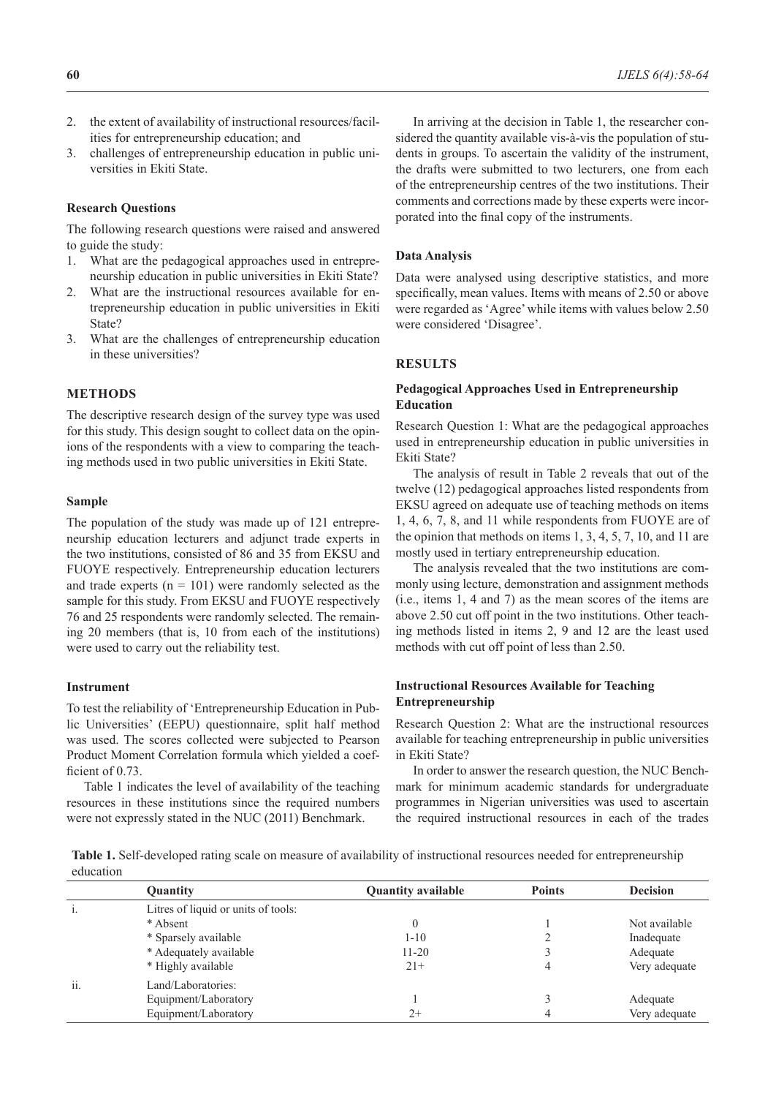- 2. the extent of availability of instructional resources/facilities for entrepreneurship education; and
- 3. challenges of entrepreneurship education in public universities in Ekiti State.

#### **Research Questions**

The following research questions were raised and answered to guide the study:

- 1. What are the pedagogical approaches used in entrepreneurship education in public universities in Ekiti State?
- 2. What are the instructional resources available for entrepreneurship education in public universities in Ekiti State?
- 3. What are the challenges of entrepreneurship education in these universities?

# **METHODS**

The descriptive research design of the survey type was used for this study. This design sought to collect data on the opinions of the respondents with a view to comparing the teaching methods used in two public universities in Ekiti State.

#### **Sample**

The population of the study was made up of 121 entrepreneurship education lecturers and adjunct trade experts in the two institutions, consisted of 86 and 35 from EKSU and FUOYE respectively. Entrepreneurship education lecturers and trade experts  $(n = 101)$  were randomly selected as the sample for this study. From EKSU and FUOYE respectively 76 and 25 respondents were randomly selected. The remaining 20 members (that is, 10 from each of the institutions) were used to carry out the reliability test.

#### **Instrument**

To test the reliability of 'Entrepreneurship Education in Public Universities' (EEPU) questionnaire, split half method was used. The scores collected were subjected to Pearson Product Moment Correlation formula which yielded a coefficient of 0.73.

Table 1 indicates the level of availability of the teaching resources in these institutions since the required numbers were not expressly stated in the NUC (2011) Benchmark.

In arriving at the decision in Table 1, the researcher considered the quantity available vis-à-vis the population of students in groups. To ascertain the validity of the instrument, the drafts were submitted to two lecturers, one from each of the entrepreneurship centres of the two institutions. Their comments and corrections made by these experts were incorporated into the final copy of the instruments.

### **Data Analysis**

Data were analysed using descriptive statistics, and more specifically, mean values. Items with means of 2.50 or above were regarded as 'Agree' while items with values below 2.50 were considered 'Disagree'.

## **RESULTS**

#### **Pedagogical Approaches Used in Entrepreneurship Education**

Research Question 1: What are the pedagogical approaches used in entrepreneurship education in public universities in Ekiti State?

The analysis of result in Table 2 reveals that out of the twelve (12) pedagogical approaches listed respondents from EKSU agreed on adequate use of teaching methods on items 1, 4, 6, 7, 8, and 11 while respondents from FUOYE are of the opinion that methods on items 1, 3, 4, 5, 7, 10, and 11 are mostly used in tertiary entrepreneurship education.

The analysis revealed that the two institutions are commonly using lecture, demonstration and assignment methods (i.e., items 1, 4 and 7) as the mean scores of the items are above 2.50 cut off point in the two institutions. Other teaching methods listed in items 2, 9 and 12 are the least used methods with cut off point of less than 2.50.

### **Instructional Resources Available for Teaching Entrepreneurship**

Research Question 2: What are the instructional resources available for teaching entrepreneurship in public universities in Ekiti State?

In order to answer the research question, the NUC Benchmark for minimum academic standards for undergraduate programmes in Nigerian universities was used to ascertain the required instructional resources in each of the trades

**Table 1.** Self-developed rating scale on measure of availability of instructional resources needed for entrepreneurship education

|     | <b>Quantity</b>                     | <b>Quantity available</b> | <b>Points</b> | <b>Decision</b> |
|-----|-------------------------------------|---------------------------|---------------|-----------------|
|     | Litres of liquid or units of tools: |                           |               |                 |
|     | * Absent                            | $\theta$                  |               | Not available   |
|     | * Sparsely available                | $1 - 10$                  |               | Inadequate      |
|     | * Adequately available              | $11 - 20$                 |               | Adequate        |
|     | * Highly available                  | $21+$                     |               | Very adequate   |
| ii. | Land/Laboratories:                  |                           |               |                 |
|     | Equipment/Laboratory                |                           |               | Adequate        |
|     | Equipment/Laboratory                | $2+$                      |               | Very adequate   |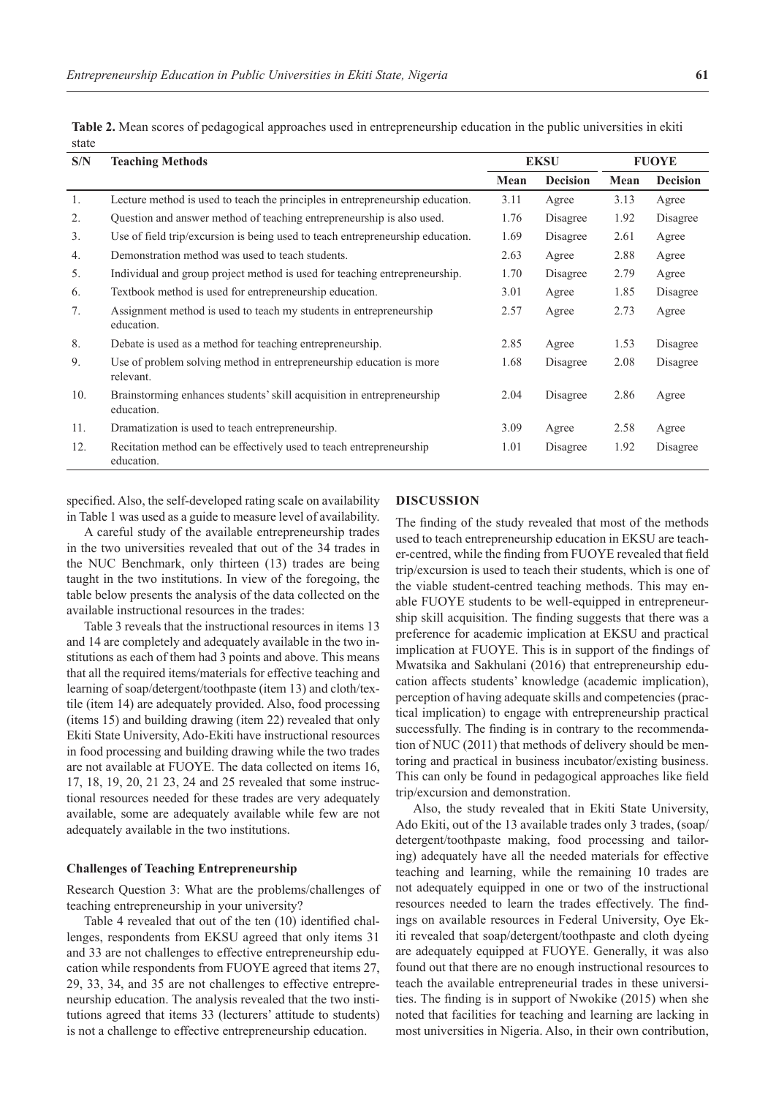| S/N | <b>Teaching Methods</b>                                                              |      | <b>EKSU</b>     | <b>FUOYE</b> |                 |
|-----|--------------------------------------------------------------------------------------|------|-----------------|--------------|-----------------|
|     |                                                                                      | Mean | <b>Decision</b> | Mean         | <b>Decision</b> |
| 1.  | Lecture method is used to teach the principles in entrepreneurship education.        | 3.11 | Agree           | 3.13         | Agree           |
| 2.  | Question and answer method of teaching entrepreneurship is also used.                | 1.76 | Disagree        | 1.92         | Disagree        |
| 3.  | Use of field trip/excursion is being used to teach entrepreneurship education.       | 1.69 | Disagree        | 2.61         | Agree           |
| 4.  | Demonstration method was used to teach students.                                     | 2.63 | Agree           | 2.88         | Agree           |
| 5.  | Individual and group project method is used for teaching entrepreneurship.           | 1.70 | Disagree        | 2.79         | Agree           |
| 6.  | Textbook method is used for entrepreneurship education.                              | 3.01 | Agree           | 1.85         | Disagree        |
| 7.  | Assignment method is used to teach my students in entrepreneurship<br>education.     | 2.57 | Agree           | 2.73         | Agree           |
| 8.  | Debate is used as a method for teaching entrepreneurship.                            | 2.85 | Agree           | 1.53         | Disagree        |
| 9.  | Use of problem solving method in entrepreneurship education is more<br>relevant.     | 1.68 | Disagree        | 2.08         | Disagree        |
| 10. | Brainstorming enhances students' skill acquisition in entrepreneurship<br>education. | 2.04 | Disagree        | 2.86         | Agree           |
| 11. | Dramatization is used to teach entrepreneurship.                                     | 3.09 | Agree           | 2.58         | Agree           |
| 12. | Recitation method can be effectively used to teach entrepreneurship<br>education.    | 1.01 | Disagree        | 1.92         | Disagree        |

**Table 2.** Mean scores of pedagogical approaches used in entrepreneurship education in the public universities in ekiti state

specified. Also, the self-developed rating scale on availability in Table 1 was used as a guide to measure level of availability.

A careful study of the available entrepreneurship trades in the two universities revealed that out of the 34 trades in the NUC Benchmark, only thirteen (13) trades are being taught in the two institutions. In view of the foregoing, the table below presents the analysis of the data collected on the available instructional resources in the trades:

Table 3 reveals that the instructional resources in items 13 and 14 are completely and adequately available in the two institutions as each of them had 3 points and above. This means that all the required items/materials for effective teaching and learning of soap/detergent/toothpaste (item 13) and cloth/textile (item 14) are adequately provided. Also, food processing (items 15) and building drawing (item 22) revealed that only Ekiti State University, Ado-Ekiti have instructional resources in food processing and building drawing while the two trades are not available at FUOYE. The data collected on items 16, 17, 18, 19, 20, 21 23, 24 and 25 revealed that some instructional resources needed for these trades are very adequately available, some are adequately available while few are not adequately available in the two institutions.

#### **Challenges of Teaching Entrepreneurship**

Research Question 3: What are the problems/challenges of teaching entrepreneurship in your university?

Table 4 revealed that out of the ten (10) identified challenges, respondents from EKSU agreed that only items 31 and 33 are not challenges to effective entrepreneurship education while respondents from FUOYE agreed that items 27, 29, 33, 34, and 35 are not challenges to effective entrepreneurship education. The analysis revealed that the two institutions agreed that items 33 (lecturers' attitude to students) is not a challenge to effective entrepreneurship education.

### **DISCUSSION**

The finding of the study revealed that most of the methods used to teach entrepreneurship education in EKSU are teacher-centred, while the finding from FUOYE revealed that field trip/excursion is used to teach their students, which is one of the viable student-centred teaching methods. This may enable FUOYE students to be well-equipped in entrepreneurship skill acquisition. The finding suggests that there was a preference for academic implication at EKSU and practical implication at FUOYE. This is in support of the findings of Mwatsika and Sakhulani (2016) that entrepreneurship education affects students' knowledge (academic implication), perception of having adequate skills and competencies (practical implication) to engage with entrepreneurship practical successfully. The finding is in contrary to the recommendation of NUC (2011) that methods of delivery should be mentoring and practical in business incubator/existing business. This can only be found in pedagogical approaches like field trip/excursion and demonstration.

Also, the study revealed that in Ekiti State University, Ado Ekiti, out of the 13 available trades only 3 trades, (soap/ detergent/toothpaste making, food processing and tailoring) adequately have all the needed materials for effective teaching and learning, while the remaining 10 trades are not adequately equipped in one or two of the instructional resources needed to learn the trades effectively. The findings on available resources in Federal University, Oye Ekiti revealed that soap/detergent/toothpaste and cloth dyeing are adequately equipped at FUOYE. Generally, it was also found out that there are no enough instructional resources to teach the available entrepreneurial trades in these universities. The finding is in support of Nwokike (2015) when she noted that facilities for teaching and learning are lacking in most universities in Nigeria. Also, in their own contribution,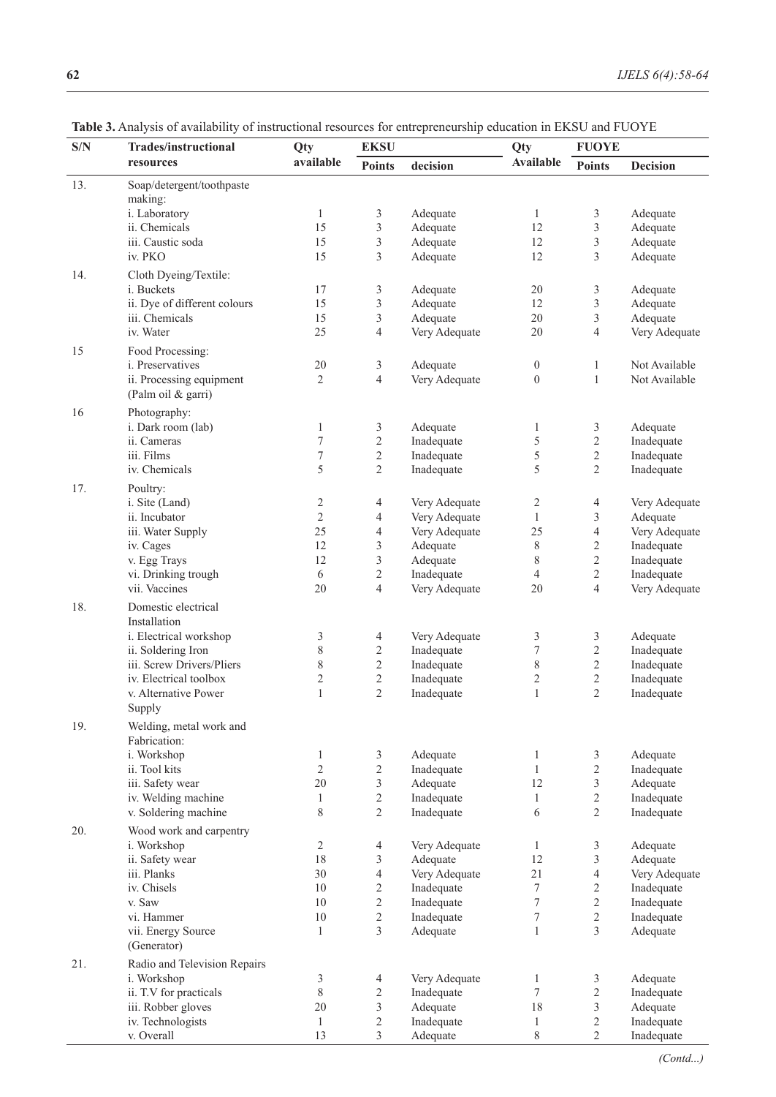| S/N | <b>Trades/instructional</b>           | Qty                     | <b>EKSU</b>                  | $\overline{ }$              | Qty              | <b>FUOYE</b>                 |                        |
|-----|---------------------------------------|-------------------------|------------------------------|-----------------------------|------------------|------------------------------|------------------------|
|     | resources                             | available               | <b>Points</b>                | decision                    | <b>Available</b> | <b>Points</b>                | <b>Decision</b>        |
|     |                                       |                         |                              |                             |                  |                              |                        |
| 13. | Soap/detergent/toothpaste<br>making:  |                         |                              |                             |                  |                              |                        |
|     | i. Laboratory                         | $\mathbf{1}$            | 3                            | Adequate                    | 1                | 3                            | Adequate               |
|     | ii. Chemicals                         | 15                      | $\sqrt{3}$                   | Adequate                    | 12               | 3                            | Adequate               |
|     | iii. Caustic soda                     | 15                      | $\sqrt{3}$                   | Adequate                    | 12               | 3                            | Adequate               |
|     | iv. PKO                               | 15                      | 3                            | Adequate                    | 12               | 3                            | Adequate               |
|     |                                       |                         |                              |                             |                  |                              |                        |
| 14. | Cloth Dyeing/Textile:<br>i. Buckets   | 17                      | $\mathfrak z$                | Adequate                    | 20               | $\mathfrak{Z}$               | Adequate               |
|     | ii. Dye of different colours          | 15                      | $\mathfrak{Z}$               | Adequate                    | 12               | 3                            | Adequate               |
|     | iii. Chemicals                        | 15                      | $\mathfrak{Z}$               | Adequate                    | 20               | 3                            | Adequate               |
|     | iv. Water                             | 25                      | 4                            | Very Adequate               | 20               | 4                            | Very Adequate          |
|     |                                       |                         |                              |                             |                  |                              |                        |
| 15  | Food Processing:                      |                         |                              |                             |                  |                              |                        |
|     | i. Preservatives                      | 20                      | $\mathfrak{Z}$               | Adequate                    | $\boldsymbol{0}$ | 1                            | Not Available          |
|     | ii. Processing equipment              | $\overline{2}$          | $\overline{4}$               | Very Adequate               | $\boldsymbol{0}$ | $\,1$                        | Not Available          |
|     | (Palm oil & garri)                    |                         |                              |                             |                  |                              |                        |
| 16  | Photography:                          |                         |                              |                             |                  |                              |                        |
|     | i. Dark room (lab)                    | $\mathbf{1}$            | $\mathfrak{Z}$               | Adequate                    | 1                | 3                            | Adequate               |
|     | ii. Cameras                           | $\tau$                  | $\sqrt{2}$                   | Inadequate                  | 5                | $\overline{c}$               | Inadequate             |
|     | iii. Films                            | $\boldsymbol{7}$        | $\sqrt{2}$                   | Inadequate                  | 5                | $\overline{c}$               | Inadequate             |
|     | iv. Chemicals                         | 5                       | $\sqrt{2}$                   | Inadequate                  | 5                | $\overline{2}$               | Inadequate             |
| 17. | Poultry:                              |                         |                              |                             |                  |                              |                        |
|     | i. Site (Land)                        | $\overline{\mathbf{c}}$ | $\overline{4}$               | Very Adequate               | 2                | 4                            | Very Adequate          |
|     | ii. Incubator                         | $\overline{2}$          | 4                            | Very Adequate               | $\mathbf{1}$     | $\mathfrak{Z}$               | Adequate               |
|     | iii. Water Supply                     | 25                      | $\overline{4}$               | Very Adequate               | 25               | $\overline{\mathcal{L}}$     | Very Adequate          |
|     | iv. Cages                             | 12                      | $\mathfrak{Z}$               | Adequate                    | 8                | $\overline{c}$               | Inadequate             |
|     | v. Egg Trays                          | 12                      | $\mathfrak{Z}$               | Adequate                    | 8                | $\overline{c}$               | Inadequate             |
|     | vi. Drinking trough                   | 6                       | $\sqrt{2}$                   | Inadequate                  | 4                | $\overline{2}$               | Inadequate             |
|     | vii. Vaccines                         | 20                      | $\overline{4}$               | Very Adequate               | 20               | 4                            | Very Adequate          |
| 18. | Domestic electrical                   |                         |                              |                             |                  |                              |                        |
|     | Installation                          |                         |                              |                             |                  |                              |                        |
|     | i. Electrical workshop                | 3                       | $\overline{4}$               | Very Adequate               | 3                | 3                            | Adequate               |
|     | ii. Soldering Iron                    | 8                       | $\sqrt{2}$                   | Inadequate                  | 7                | $\overline{c}$               | Inadequate             |
|     | iii. Screw Drivers/Pliers             | 8                       | $\sqrt{2}$                   | Inadequate                  | 8                | $\overline{c}$               | Inadequate             |
|     | iv. Electrical toolbox                | $\overline{c}$          | $\sqrt{2}$                   | Inadequate                  | $\overline{c}$   | $\overline{c}$               | Inadequate             |
|     | v. Alternative Power                  | $\mathbf{1}$            | $\overline{2}$               | Inadequate                  | $\mathbf{1}$     | $\overline{2}$               | Inadequate             |
|     | Supply                                |                         |                              |                             |                  |                              |                        |
| 19. | Welding, metal work and               |                         |                              |                             |                  |                              |                        |
|     | Fabrication:                          |                         |                              |                             |                  |                              |                        |
|     | i. Workshop                           | $\mathbf{1}$            | $\mathfrak{Z}$               | Adequate                    | 1                | 3                            | Adequate               |
|     | ii. Tool kits                         | $\overline{2}$          | $\sqrt{2}$                   | Inadequate                  | $\mathbf{1}$     | $\overline{2}$               | Inadequate             |
|     | iii. Safety wear                      | 20                      | $\mathfrak{Z}$               | Adequate                    | 12               | $\mathfrak{Z}$               | Adequate               |
|     | iv. Welding machine                   | $\mathbf{1}$            | $\sqrt{2}$                   | Inadequate                  | $\mathbf{1}$     | $\overline{2}$               | Inadequate             |
|     | v. Soldering machine                  | 8                       | $\sqrt{2}$                   | Inadequate                  | 6                | $\overline{2}$               | Inadequate             |
| 20. | Wood work and carpentry               |                         |                              |                             |                  |                              |                        |
|     | i. Workshop                           | 2                       | $\overline{4}$               | Very Adequate               | 1                | 3                            | Adequate               |
|     | ii. Safety wear                       | 18                      | 3                            | Adequate                    | 12               | $\mathfrak{Z}$               | Adequate               |
|     | iii. Planks                           | 30                      | $\sqrt{4}$                   | Very Adequate               | 21               | $\overline{\mathbf{4}}$      | Very Adequate          |
|     | iv. Chisels                           | 10                      | $\sqrt{2}$                   | Inadequate                  | $\tau$           | $\overline{2}$               | Inadequate             |
|     | v. Saw                                | 10                      | $\overline{c}$               | Inadequate                  | 7                | $\overline{2}$               | Inadequate             |
|     | vi. Hammer                            | 10                      | $\sqrt{2}$                   | Inadequate                  | $\boldsymbol{7}$ | $\overline{c}$               | Inadequate             |
|     | vii. Energy Source                    | $\mathbf{1}$            | $\overline{\mathbf{3}}$      | Adequate                    | $\mathbf{1}$     | 3                            | Adequate               |
|     | (Generator)                           |                         |                              |                             |                  |                              |                        |
|     |                                       |                         |                              |                             |                  |                              |                        |
| 21. | Radio and Television Repairs          |                         |                              |                             |                  |                              |                        |
|     | i. Workshop<br>ii. T.V for practicals | 3<br>8                  | $\overline{4}$<br>$\sqrt{2}$ | Very Adequate<br>Inadequate | 1<br>$\tau$      | $\mathfrak{Z}$<br>$\sqrt{2}$ | Adequate<br>Inadequate |
|     | iii. Robber gloves                    | 20                      | $\mathfrak{Z}$               | Adequate                    | $18\,$           | 3                            | Adequate               |
|     | iv. Technologists                     | $\mathbf{1}$            | $\overline{2}$               | Inadequate                  | $\mathbf{1}$     | $\overline{2}$               | Inadequate             |
|     |                                       |                         |                              |                             |                  |                              |                        |

13

3

Adequate

8

2

**Table 3.** Analysis of availability of instructional resources for entrepreneurship education in EKSU and FUOYE

v. Overall

Inadequate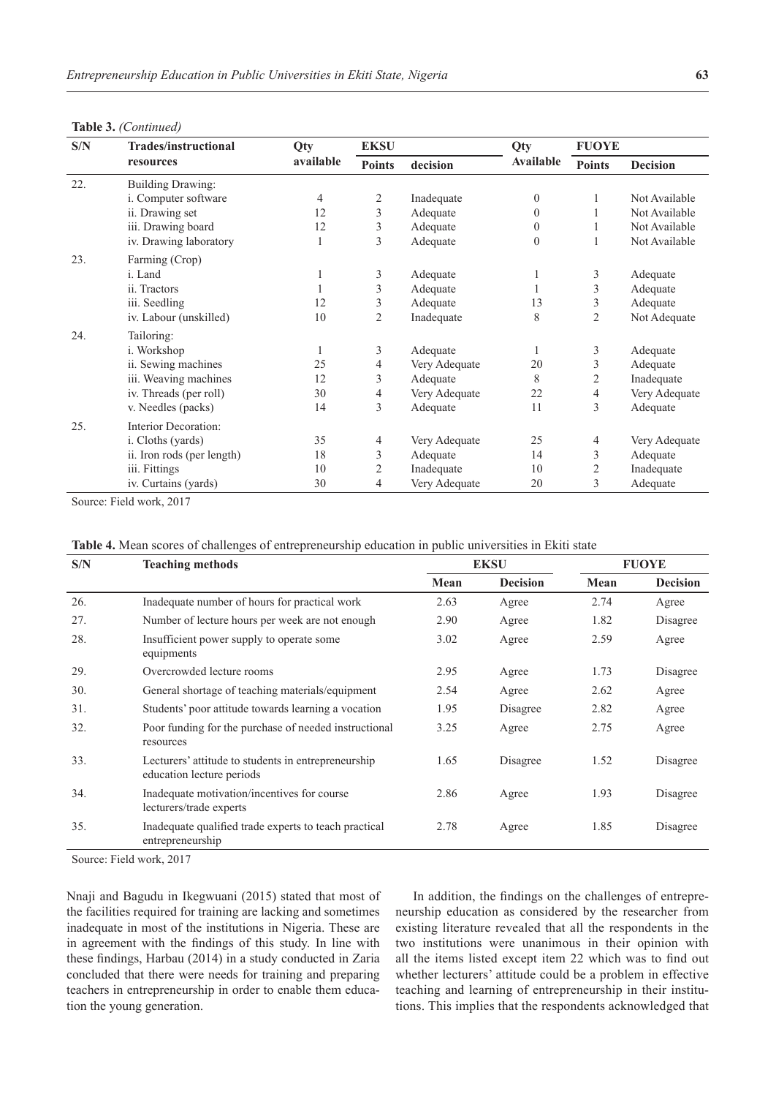|  | Table 3. (Continued) |
|--|----------------------|
|--|----------------------|

| S/N | <b>Trades/instructional</b><br>resources | <b>Qty</b> | <b>EKSU</b>    |               | Qty              | <b>FUOYE</b>   |                 |
|-----|------------------------------------------|------------|----------------|---------------|------------------|----------------|-----------------|
|     |                                          | available  | <b>Points</b>  | decision      | <b>Available</b> | <b>Points</b>  | <b>Decision</b> |
| 22. | <b>Building Drawing:</b>                 |            |                |               |                  |                |                 |
|     | i. Computer software                     | 4          | 2              | Inadequate    | $\theta$         |                | Not Available   |
|     | ii. Drawing set                          | 12         | 3              | Adequate      | $\Omega$         |                | Not Available   |
|     | iii. Drawing board                       | 12         | 3              | Adequate      | $\Omega$         |                | Not Available   |
|     | iv. Drawing laboratory                   | 1          | 3              | Adequate      | $\mathbf{0}$     |                | Not Available   |
| 23. | Farming (Crop)                           |            |                |               |                  |                |                 |
|     | i. Land                                  |            | 3              | Adequate      |                  | 3              | Adequate        |
|     | ii. Tractors                             |            | 3              | Adequate      |                  | 3              | Adequate        |
|     | iii. Seedling                            | 12         | 3              | Adequate      | 13               | 3              | Adequate        |
|     | iv. Labour (unskilled)                   | 10         | $\overline{c}$ | Inadequate    | 8                | $\overline{2}$ | Not Adequate    |
| 24. | Tailoring:                               |            |                |               |                  |                |                 |
|     | <i>i</i> . Workshop                      | 1          | 3              | Adequate      |                  | 3              | Adequate        |
|     | ii. Sewing machines                      | 25         | 4              | Very Adequate | 20               | 3              | Adequate        |
|     | iii. Weaving machines                    | 12         | 3              | Adequate      | 8                | $\overline{2}$ | Inadequate      |
|     | iv. Threads (per roll)                   | 30         | 4              | Very Adequate | 22               | 4              | Very Adequate   |
|     | v. Needles (packs)                       | 14         | 3              | Adequate      | 11               | 3              | Adequate        |
| 25. | Interior Decoration:                     |            |                |               |                  |                |                 |
|     | i. Cloths (yards)                        | 35         | $\overline{4}$ | Very Adequate | 25               | 4              | Very Adequate   |
|     | ii. Iron rods (per length)               | 18         | 3              | Adequate      | 14               | 3              | Adequate        |
|     | iii. Fittings                            | 10         | 2              | Inadequate    | 10               | 2              | Inadequate      |
|     | iv. Curtains (yards)                     | 30         | 4              | Very Adequate | 20               | 3              | Adequate        |

Source: Field work, 2017

| Table 4. Mean scores of challenges of entrepreneurship education in public universities in Ekiti state |  |  |  |
|--------------------------------------------------------------------------------------------------------|--|--|--|
|                                                                                                        |  |  |  |

| S/N | <b>Teaching methods</b>                                                          |      | <b>EKSU</b>     |      | <b>FUOYE</b>    |  |
|-----|----------------------------------------------------------------------------------|------|-----------------|------|-----------------|--|
|     |                                                                                  | Mean | <b>Decision</b> | Mean | <b>Decision</b> |  |
| 26. | Inadequate number of hours for practical work                                    | 2.63 | Agree           | 2.74 | Agree           |  |
| 27. | Number of lecture hours per week are not enough                                  | 2.90 | Agree           | 1.82 | Disagree        |  |
| 28. | Insufficient power supply to operate some<br>equipments                          | 3.02 | Agree           | 2.59 | Agree           |  |
| 29. | Overcrowded lecture rooms                                                        | 2.95 | Agree           | 1.73 | Disagree        |  |
| 30. | General shortage of teaching materials/equipment                                 | 2.54 | Agree           | 2.62 | Agree           |  |
| 31. | Students' poor attitude towards learning a vocation                              | 1.95 | Disagree        | 2.82 | Agree           |  |
| 32. | Poor funding for the purchase of needed instructional<br>resources               | 3.25 | Agree           | 2.75 | Agree           |  |
| 33. | Lecturers' attitude to students in entrepreneurship<br>education lecture periods | 1.65 | Disagree        | 1.52 | Disagree        |  |
| 34. | Inadequate motivation/incentives for course<br>lecturers/trade experts           | 2.86 | Agree           | 1.93 | Disagree        |  |
| 35. | Inadequate qualified trade experts to teach practical<br>entrepreneurship        | 2.78 | Agree           | 1.85 | Disagree        |  |
|     |                                                                                  |      |                 |      |                 |  |

Source: Field work, 2017

Nnaji and Bagudu in Ikegwuani (2015) stated that most of the facilities required for training are lacking and sometimes inadequate in most of the institutions in Nigeria. These are in agreement with the findings of this study. In line with these findings, Harbau (2014) in a study conducted in Zaria concluded that there were needs for training and preparing teachers in entrepreneurship in order to enable them education the young generation.

In addition, the findings on the challenges of entrepreneurship education as considered by the researcher from existing literature revealed that all the respondents in the two institutions were unanimous in their opinion with all the items listed except item 22 which was to find out whether lecturers' attitude could be a problem in effective teaching and learning of entrepreneurship in their institutions. This implies that the respondents acknowledged that